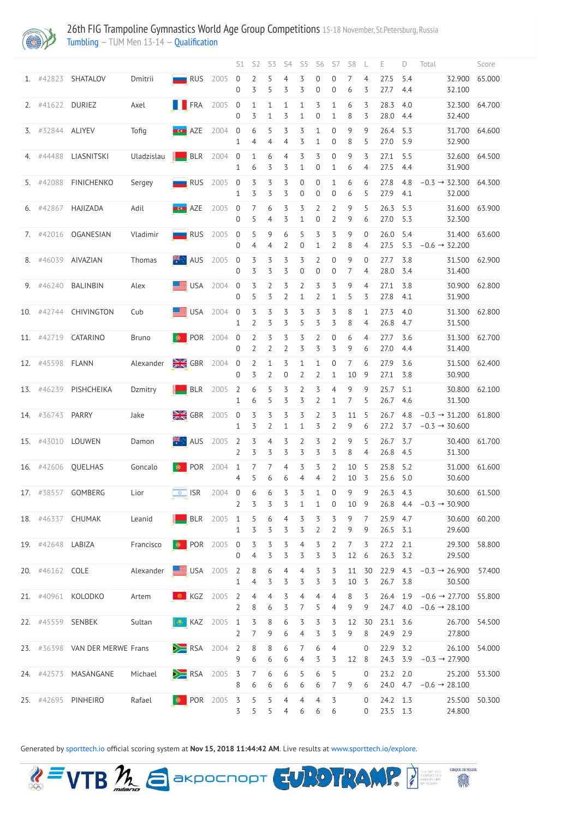

26th FIG Trampoline Gymnastics World Age Group Competitions 15-18 November, St.Petersburg, Russia [Tumbling](http://192.168.1.10:9001/event/TUM) — TUM Men 13-14 — [Qualification](http://192.168.1.10:9001/stages/12)

|                   |                       |                                  |                |                               | S1                                 | S <sub>2</sub>                   | S3                                 | S4                                                  | S <sub>5</sub>                       | S <sub>6</sub>                   | S7                                   | S <sub>8</sub>       |                     | E                          |              | Total                              |                                                               | Score         |
|-------------------|-----------------------|----------------------------------|----------------|-------------------------------|------------------------------------|----------------------------------|------------------------------------|-----------------------------------------------------|--------------------------------------|----------------------------------|--------------------------------------|----------------------|---------------------|----------------------------|--------------|------------------------------------|---------------------------------------------------------------|---------------|
| 1. $\#42823$      | SHATALOV              | Dmitrii                          | RUS            | 2005                          | $\overline{0}$<br>$\overline{0}$   | $\overline{2}$<br>3              | 5<br>5                             | 4<br>3                                              | 3<br>3                               | 0<br>$\overline{0}$              | 0<br>$\overline{0}$                  | 6                    | 4<br>3              | 27.5<br>27.7               | 5.4<br>4.4   |                                    | 32.900<br>32.100                                              | 65.000        |
| $2.$ #41622       | <b>DURIEZ</b>         | Axel                             | <b>TERA</b>    | 2005                          | $\overline{0}$<br>$\overline{0}$   | $\mathbf{1}$<br>3                | $1\,$<br>$\mathbf{1}$              | $\mathbf{1}$<br>3                                   | $\mathbf{1}$<br>1                    | 3<br>0                           | $\mathbf{1}$<br>$\mathbf{1}$         | 6<br>8               | 3<br>3              | 28.3<br>28.0 4.4           | 4.0          |                                    | 32.300<br>32.400                                              | 64.700        |
| 3. #32844 ALIYEV  |                       | Tofig                            | <b>ECO</b> AZE | 2004                          | $\boldsymbol{0}$<br>1              | $\boldsymbol{6}$<br>4            | 5<br>4                             | $\overline{5}$<br>4                                 | 3<br>3                               | $\mathbf{1}$<br>1                | $\boldsymbol{0}$<br>$\boldsymbol{0}$ | 9<br>8               | 9<br>5              | 26.4<br>27.0               | 5.3<br>5.9   |                                    | 31.700<br>32.900                                              | 64.600        |
| 4. #44488         | LIASNITSKI            | Uladzislau                       |                | $B-R$ 2004                    | $\mathbf 0$<br>$\mathbf{1}$        | $\mathbf{1}$<br>6                | $\boldsymbol{6}$<br>3              | $\overline{4}$<br>3                                 | 3<br>$\mathbf{1}$                    | 3<br>$\boldsymbol{0}$            | $\mathbf 0$<br>1                     | 9<br>6               | 3<br>4              | 27.1<br>27.5               | 5.5<br>4.4   |                                    | 32.600<br>31.900                                              | 64.500        |
| 5. #42088         | <b>FINICHENKO</b>     | Sergey                           |                | RUS 2005 0                    | $\mathbf{1}$                       | $\overline{3}$<br>3              | $\overline{5}$<br>3                | $\overline{5}$<br>3                                 | $\boldsymbol{0}$<br>$\boldsymbol{0}$ | 0<br>$\overline{0}$              | 1<br>$\boldsymbol{0}$                | 6<br>6               | 6<br>5              | 27.8<br>27.9               | 4.8<br>4.1   |                                    | $-0.3 \rightarrow 32.300$<br>32.000                           | 64.300        |
| 6. $\#42867$      | HAJIZADA              | Adil                             | <b>ECO</b> AZE | 2005                          | $\boldsymbol{0}$<br>$\overline{0}$ | $7\overline{ }$<br>5             | $\boldsymbol{6}$<br>$\overline{4}$ | $\overline{5}$<br>3                                 | 3<br>$\mathbf{1}$                    | $\overline{2}$<br>0              | $\overline{2}$<br>$\overline{2}$     | 9<br>9               | 5<br>6              | 26.3<br>27.0               | 5.3<br>5.3   |                                    | 31.600<br>32.300                                              | 63.900        |
| 7. #42016         | OGANESIAN             | Vladimir                         | RUS            | 2005                          | $\boldsymbol{0}$<br>$\overline{0}$ | 5<br>4                           | $\mathsf 9$<br>4                   | 6<br>2                                              | 5<br>$\boldsymbol{0}$                | 3<br>1                           | 3<br>$\overline{2}$                  | 9<br>8               | $\overline{0}$<br>4 | 26.0<br>27.5               | 5.4<br>5.3   |                                    | 31.400<br>$-0.6 \rightarrow 32.200$                           | 63.600        |
| 8. #46039         | AIVAZIAN              | Thomas                           | <b>AUS</b>     | 2005                          | $\overline{0}$<br>$\overline{0}$   | $\overline{3}$<br>3              | $\overline{3}$<br>3                | 3<br>3                                              | 3<br>$\overline{0}$                  | $\overline{2}$<br>$\overline{0}$ | $\boldsymbol{0}$<br>$\overline{0}$   | 9<br>7               | $\overline{0}$<br>4 | 27.7<br>28.0               | 3.8<br>- 3.4 |                                    | 31.500<br>31.400                                              | 62.900        |
| 9. #46240         | <b>BALINBIN</b>       | Alex                             |                | $USA$ 2004 0                  | $\Omega$                           | $\overline{3}$<br>5              | $\overline{2}$<br>3                | $\overline{5}$<br>$\overline{2}$                    | $\overline{2}$<br>1                  | $\overline{5}$<br>$\overline{2}$ | 3<br>$\mathbf 1$                     | 9<br>5               | 4<br>3              | 27.1<br>27.8               | 3.8<br>4.1   |                                    | 30.900<br>31.900                                              | 62.800        |
| 10. #42744        | CHIVINGTON            | Cub                              |                | $USA$ 2004 0                  | $\mathbf{1}$                       | $\overline{3}$<br>$\overline{2}$ | $\overline{3}$<br>3                | $\overline{5}$<br>3                                 | $\overline{5}$<br>5                  | $\overline{5}$<br>3              | $\overline{3}$<br>3                  | 8<br>8               | $\mathbf{1}$<br>4   | 27.3<br>26.8               | 4.0<br>4.7   |                                    | 31.300<br>31.500                                              | 62.800        |
| 11. #42719        | CATARINO              | Bruno                            |                | <b>D</b> POR 2004 0           | $\overline{0}$                     | $\overline{2}$<br>$\overline{2}$ | $\overline{5}$<br>$\overline{2}$   | $\overline{\mathcal{S}}$<br>$\overline{2}$          | 3<br>3                               | $\overline{2}$<br>3              | $\mathbf 0$<br>3                     | 6<br>9               | 4<br>6              | 27.7<br>27.0               | 3.6<br>4.4   |                                    | 31.300<br>31.400                                              | 62.700        |
| 12. #45598 FLANN  |                       | Alexander                        |                | $\frac{N}{2N}$ GBR 2004 0     | $\overline{0}$                     | $\overline{2}$<br>3              | $\mathbf{1}$<br>$\overline{2}$     | 3<br>$\theta$                                       | $\mathbf{1}$<br>2                    | $\mathbf{1}$<br>$\overline{2}$   | $\mathbf 0$                          | 10                   | 6<br>- 9            | 27.9<br>27.1 3.8           | 3.6          |                                    | 30.900                                                        | 31.500 62.400 |
|                   | 13. #46239 PISHCHEIKA | Dzmitry                          |                | BLR 2005 2 6 5 3 2            | $\mathbf{1}$                       | 6                                | 5                                  | $\overline{3}$                                      | $\overline{3}$                       | $\overline{3}$<br>$\overline{2}$ | $\overline{4}$<br>$\mathbf{1}$       | 9<br>7               | 9<br>5              | 25.7<br>26.7 4.6           | 5.1          |                                    | 30.800<br>31.300                                              | 62.100        |
| 14. #36743 PARRY  |                       | Jake                             |                | $\frac{1}{2}$ GBR 2005 0      | 1                                  | $\overline{3}$                   | $\overline{2}$                     | $3 \quad 3 \quad 3 \quad 3 \quad 2$<br>$\mathbf{1}$ | $\mathbf{1}$                         | 3                                | $\overline{3}$<br>$\overline{2}$     | 11 5<br>9            | 6                   | 26.7<br>$27.2$ 3.7         | 4.8          |                                    | $-0.3 \rightarrow 31.200$ 61.800<br>$-0.3 \rightarrow 30.600$ |               |
|                   | 15. #43010 LOUWEN     | Damon                            |                | <b>AUS</b> 2005 2             | $\overline{2}$                     | 3 <sub>4</sub><br>3              | 3                                  | $\overline{3}$<br>3                                 | $\overline{2}$<br>3                  | $\overline{3}$<br>3              | $\overline{2}$<br>3                  | 9<br>8               | 5<br>4              | $26.7$ 3.7<br>26.8 4.5     |              |                                    | 30.400<br>31.300                                              | 61.700        |
|                   | 16. #42606 QUELHAS    | Goncalo                          |                | <b>D</b> POR 2004 1           | $\overline{4}$                     | 7 <sub>7</sub><br>5              | 6                                  | $\overline{4}$<br>6                                 | $\overline{5}$<br>4                  | $\overline{5}$<br>4              | $\overline{2}$<br>$\overline{2}$     | 10<br>10 3           | $-5$                | 25.8 5.2<br>25.6 5.0       |              |                                    | 31.000<br>30.600                                              | 61.600        |
|                   | 17. #38557 GOMBERG    | Lior                             |                | $\boxed{4}$ ISR 2004 0        | $\overline{2}$                     | 6 6<br>$\overline{3}$            | $\overline{3}$                     | 3                                                   | 3 <sub>3</sub><br>$\mathbf{1}$       | $\mathbf{1}$<br>$\mathbf{1}$     | $\boldsymbol{0}$<br>$\overline{0}$   | 9<br>10 9            | 9                   | 26.3 4.3                   |              | 26.8 4.4 $-0.3 \rightarrow 30.900$ | 30.600                                                        | 61.500        |
|                   | 18. #46337 CHUMAK     | Leanid                           |                | $BLR$ 2005 1                  | $\mathbf{1}$                       | $\overline{5}$                   | $\overline{5}$                     | $5\quad 6\quad 4\quad 3$<br>$\overline{3}$          | $\overline{5}$                       | $\overline{5}$<br>$\overline{2}$ | $\overline{3}$<br>$\overline{2}$     | 9<br>9               | $\overline{7}$<br>9 | 25.9 4.7<br>26.5 3.1       |              |                                    | 30.600<br>29.600                                              | 60.200        |
| 19. #42648 LABIZA |                       | Francisco                        |                | POR 2005 0 3 3 3 4            | $\overline{0}$                     | 4                                | $\overline{3}$                     | $\overline{3}$                                      | 3                                    | $\overline{3}$<br>3              | $\overline{2}$<br>3                  | $\overline{7}$<br>12 | 3<br>6              | $27.2$ $2.1$<br>$26.3$ 3.2 |              |                                    | 29.300<br>29.500                                              | 58.800        |
| 20. #46162 COLE   |                       | Alexander USA 2005 2 8 6 4 4 3 3 |                |                               | $\mathbf{1}$                       | 4                                | 3                                  |                                                     | 3 <sub>3</sub>                       | $\overline{3}$                   | 3                                    | 10 <sub>5</sub>      | 11 30               | 22.9 4.3<br>26.7 3.8       |              |                                    | $-0.3 \rightarrow 26.900$<br>30.500                           | 57.400        |
|                   | 21. #40961 KOLODKO    | Artem                            |                | <b>8</b> $KGZ$ 2005 2 4 4 3 4 | $2^{\circ}$                        | 8                                | 6                                  | $\overline{3}$                                      | $7\overline{ }$                      | $\overline{4}$<br>5 <sup>7</sup> | $\overline{4}$<br>4 <sup>1</sup>     | 8<br>9               | $\overline{3}$<br>9 | 26.4 1.9                   |              | 24.7 4.0 $-0.6 \rightarrow 28.100$ | $-0.6 \rightarrow 27.700$ 55.800                              |               |

|  | 22. #45559 SENBEK                                                              | Sultan <b>COM</b> KAZ 2005 1 3 8 6 3 3 3 12 30 23.1 3.6 |                                                 |  |  |  |  |  |                            |  | 26.700 54.500                                         |  |
|--|--------------------------------------------------------------------------------|---------------------------------------------------------|-------------------------------------------------|--|--|--|--|--|----------------------------|--|-------------------------------------------------------|--|
|  |                                                                                |                                                         |                                                 |  |  |  |  |  | 2 7 9 6 4 3 3 9 8 24.9 2.9 |  | 27.800                                                |  |
|  | 23. #36398 VAN DER MERWE Frans                                                 |                                                         | RSA 2004 2 8 8 6 7 6 4 0 22.9 3.2 26.100 54.000 |  |  |  |  |  |                            |  |                                                       |  |
|  |                                                                                |                                                         |                                                 |  |  |  |  |  |                            |  | 9 6 6 6 4 3 3 12 8 24.3 3.9 $-0.3 \rightarrow 27.900$ |  |
|  | 24. #42573 MASANGANE Michael X RSA 2005 3 7 6 6 5 6 5 0 23.2 2.0 25.200 53.300 |                                                         |                                                 |  |  |  |  |  |                            |  |                                                       |  |
|  |                                                                                |                                                         |                                                 |  |  |  |  |  |                            |  | 8 6 6 6 6 6 7 9 6 24.0 4.7 $-0.6 \rightarrow 28.100$  |  |
|  | 25. #42695 PINHEIRO                                                            | Rafael                                                  | <b>O</b> POR 2005 3 5 5 4 4 4 3 0 24.2 1.3      |  |  |  |  |  |                            |  | 25.500 50.300                                         |  |
|  |                                                                                |                                                         |                                                 |  |  |  |  |  | 5 5 4 6 6 6 0 23.5 1.3     |  | 24.800                                                |  |

Generated by [sporttech.io](https://sporttech.io/) official scoring system at **Nov 15, 2018 11:44:42 AM**. Live results at [www.sporttech.io/explore.](https://sporttech.io/explore)